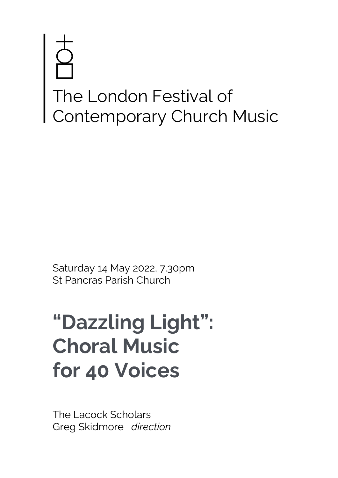# The London Festival of Contemporary Church Music

Saturday 14 May 2022, 7.30pm St Pancras Parish Church

# **"Dazzling Light": Choral Music for 40 Voices**

The Lacock Scholars Greg Skidmore *direction*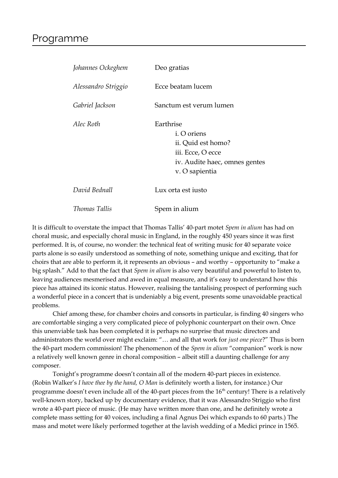# Programme

| Johannes Ockeghem   | Deo gratias                                                                                                                   |
|---------------------|-------------------------------------------------------------------------------------------------------------------------------|
| Alessandro Striggio | Ecce beatam lucem                                                                                                             |
| Gabriel Jackson     | Sanctum est verum lumen                                                                                                       |
| Alec Roth           | Earthrise<br><i>i.</i> O oriens<br>ii. Quid est homo?<br>iii. Ecce, O ecce<br>iv. Audite haec, omnes gentes<br>v. O sapientia |
| David Bednall       | Lux orta est iusto                                                                                                            |
| Thomas Tallis       | Spem in alium                                                                                                                 |

It is difficult to overstate the impact that Thomas Tallis' 40-part motet *Spem in alium* has had on choral music, and especially choral music in England, in the roughly 450 years since it was first performed. It is, of course, no wonder: the technical feat of writing music for 40 separate voice parts alone is so easily understood as something of note, something unique and exciting, that for choirs that are able to perform it, it represents an obvious – and worthy – opportunity to "make a big splash." Add to that the fact that *Spem in alium* is also very beautiful and powerful to listen to, leaving audiences mesmerised and awed in equal measure, and it's easy to understand how this piece has attained its iconic status. However, realising the tantalising prospect of performing such a wonderful piece in a concert that is undeniably a big event, presents some unavoidable practical problems.

Chief among these, for chamber choirs and consorts in particular, is finding 40 singers who are comfortable singing a very complicated piece of polyphonic counterpart on their own. Once this unenviable task has been completed it is perhaps no surprise that music directors and administrators the world over might exclaim: "… and all that work for *just one piece*?" Thus is born the 40-part modern commission! The phenomenon of the *Spem in alium* "companion" work is now a relatively well known genre in choral composition – albeit still a daunting challenge for any composer.

Tonight's programme doesn't contain all of the modern 40-part pieces in existence. (Robin Walker's *I have thee by the hand, O Man* is definitely worth a listen, for instance.) Our programme doesn't even include all of the 40-part pieces from the 16<sup>th</sup> century! There is a relatively well-known story, backed up by documentary evidence, that it was Alessandro Striggio who first wrote a 40-part piece of music. (He may have written more than one, and he definitely wrote a complete mass setting for 40 voices, including a final Agnus Dei which expands to 60 parts.) The mass and motet were likely performed together at the lavish wedding of a Medici prince in 1565.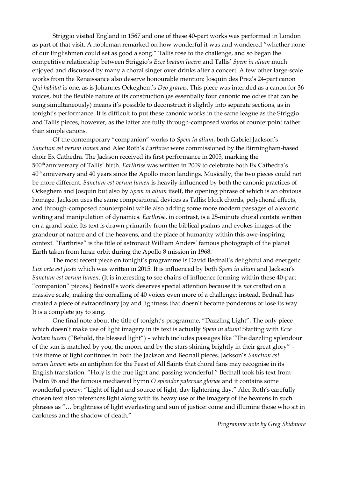Striggio visited England in 1567 and one of these 40-part works was performed in London as part of that visit. A nobleman remarked on how wonderful it was and wondered "whether none of our Englishmen could set as good a song." Tallis rose to the challenge, and so began the competitive relationship between Striggio's *Ecce beatam lucem* and Tallis' *Spem in alium* much enjoyed and discussed by many a choral singer over drinks after a concert. A few other large-scale works from the Renaissance also deserve honourable mention: Josquin des Prez's 24-part canon *Qui habitat* is one, as is Johannes Ockeghem's *Deo gratias*. This piece was intended as a canon for 36 voices, but the flexible nature of its construction (as essentially four canonic melodies that can be sung simultaneously) means it's possible to deconstruct it slightly into separate sections, as in tonight's performance. It is difficult to put these canonic works in the same league as the Striggio and Tallis pieces, however, as the latter are fully through-composed works of counterpoint rather than simple canons.

Of the contemporary "companion" works to *Spem in alium*, both Gabriel Jackson's *Sanctum est verum lumen* and Alec Roth's *Earthrise* were commissioned by the Birmingham-based choir Ex Cathedra. The Jackson received its first performance in 2005, marking the 500th anniversary of Tallis' birth. *Earthrise* was written in 2009 to celebrate both Ex Cathedra's 40th anniversary and 40 years since the Apollo moon landings. Musically, the two pieces could not be more different. *Sanctum est verum lumen* is heavily influenced by both the canonic practices of Ockeghem and Josquin but also by *Spem in alium* itself, the opening phrase of which is an obvious homage. Jackson uses the same compositional devices as Tallis: block chords, polychoral effects, and through-composed counterpoint while also adding some more modern passages of aleatoric writing and manipulation of dynamics. *Earthrise*, in contrast, is a 25-minute choral cantata written on a grand scale. Its text is drawn primarily from the biblical psalms and evokes images of the grandeur of nature and of the heavens, and the place of humanity within this awe-inspiring context. "Earthrise" is the title of astronaut William Anders' famous photograph of the planet Earth taken from lunar orbit during the Apollo 8 mission in 1968.

The most recent piece on tonight's programme is David Bednall's delightful and energetic *Lux orta est justo* which was written in 2015. It is influenced by both *Spem in alium* and Jackson's *Sanctum est verum lumen*. (It is interesting to see chains of influence forming within these 40-part "companion" pieces.) Bednall's work deserves special attention because it is *not* crafted on a massive scale, making the corralling of 40 voices even more of a challenge; instead, Bednall has created a piece of extraordinary joy and lightness that doesn't become ponderous or lose its way. It is a complete joy to sing.

One final note about the title of tonight's programme, "Dazzling Light". The only piece which doesn't make use of light imagery in its text is actually *Spem in alium*! Starting with *Ecce beatam lucem* ("Behold, the blessed light") – which includes passages like "The dazzling splendour of the sun is matched by you, the moon, and by the stars shining brightly in their great glory" – this theme of light continues in both the Jackson and Bednall pieces. Jackson's *Sanctum est verum lumen* sets an antiphon for the Feast of All Saints that choral fans may recognise in its English translation: "Holy is the true light and passing wonderful." Bednall took his text from Psalm 96 and the famous mediaeval hymn *O splendor paternae gloriae* and it contains some wonderful poetry: "Light of light and source of light, day lightening day." Alec Roth's carefully chosen text also references light along with its heavy use of the imagery of the heavens in such phrases as "… brightness of light everlasting and sun of justice: come and illumine those who sit in darkness and the shadow of death."

*Programme note by Greg Skidmore*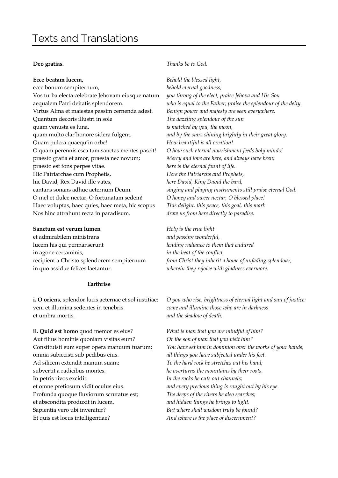#### **Deo gratias.**

#### **Ecce beatam lucem,**

ecce bonum sempiternum, Vos turba electa celebrate Jehovam eiusque natum aequalem Patri deitatis splendorem. Virtus Alma et maiestas passim cernenda adest. Quantum decoris illustri in sole quam venusta es luna, quam multo clar'honore sidera fulgent. Quam pulcra quaequ'in orbe! O quam perennis esca tam sanctas mentes pascit! praesto gratia et amor, praesta nec novum; praesto est fons perpes vitae. Hic Patriarchae cum Prophetis, hic David, Rex David ille vates, cantans sonans adhuc aeternum Deum. O mel et dulce nectar, O fortunatam sedem! Haec voluptas, haec quies, haec meta, hic scopus Nos hinc attrahunt recta in paradisum.

#### **Sanctum est verum lumen**

et admirabilem ministrans lucem his qui permanserunt in agone certaminis, recipient a Christo splendorem sempiternum in quo assidue felices laetantur.

#### **Earthrise**

**i. O oriens**, splendor lucis aeternae et sol iustitiae: veni et illumina sedentes in tenebris et umbra mortis.

**ii. Quid est homo** quod memor es eius? Aut filius hominis quoniam visitas eum? Constituisti eum super opera manuum tuarum; omnia subiecisti sub pedibus eius. Ad silicem extendit manum suam; subvertit a radicibus montes. In petris rivos excidit: et omne pretiosum vidit oculus eius. Profunda quoque fluviorum scrutatus est; et abscondita produxit in lucem. Sapientia vero ubi invenitur? Et quis est locus intelligentiae?

#### *Thanks be to God.*

*Behold the blessed light, behold eternal goodness, you throng of the elect, praise Jehova and His Son who is equal to the Father; praise the splendour of the deity. Benign power and majesty are seen everywhere. The dazzling splendour of the sun is matched by you, the moon, and by the stars shining brightly in their great glory. How beautiful is all creation! O how such eternal nourishment feeds holy minds! Mercy and love are here, and always have been; here is the eternal fount of life. Here the Patriarchs and Prophets, here David, King David the bard, singing and playing instruments still praise eternal God. O honey and sweet nectar, O blessed place! This delight, this peace, this goal, this mark draw us from here directly to paradise.*

*Holy is the true light and passing wonderful, lending radiance to them that endured in the heat of the conflict, from Christ they inherit a home of unfading splendour, wherein they rejoice with gladness evermore.*

*O you who rise, brightness of eternal light and sun of justice: come and illumine those who are in darkness and the shadow of death.*

*What is man that you are mindful of him? Or the son of man that you visit him? You have set him in dominion over the works of your hands; all things you have subjected under his feet. To the hard rock he stretches out his hand; he overturns the mountains by their roots. In the rocks he cuts out channels; and every precious thing is sought out by his eye. The deeps of the rivers he also searches; and hidden things he brings to light. But where shall wisdom truly be found? And where is the place of discernment?*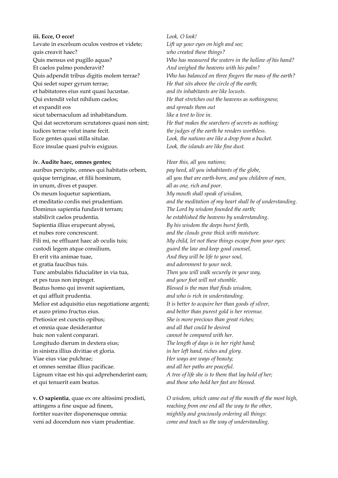**iii. Ecce, O ecce!** Levate in excelsum oculos vestros et videte; quis creavit haec? Quis mensus est pugillo aquas? Et caelos palmo ponderavit? Quis adpendit tribus digitis molem terrae? Qui sedet super gyrum terrae; et habitatores eius sunt quasi lucustae. Qui extendit velut nihilum caelos; et expandit eos sicut tabernaculum ad inhabitandum. Qui dat secretorum scrutatores quasi non sint; iudices terrae velut inane fecit. Ecce gentes quasi stilla situlae. Ecce insulae quasi pulvis exiguus.

#### **iv. Audite haec, omnes gentes;**

auribus percipite, omnes qui habitatis orbem, quique terriginae, et filii hominum, in unum, dives et pauper. Os meum loquetur sapientiam, et meditatio cordis mei prudentiam. Dominus sapientia fundavit terram; stabilivit caelos prudentia. Sapientia illius eruperunt abyssi, et nubes rore concrescunt. Fili mi, ne effluant haec ab oculis tuis; custodi legem atque consilium, Et erit vita animae tuae, et gratia faucibus tuis. Tunc ambulabis fiducialiter in via tua, et pes tuus non inpinget. Beatus homo qui invenit sapientiam, et qui affluit prudentia. Melior est adquisitio eius negotiatione argenti; et auro primo fructus eius. Pretiosior est cunctis opibus; et omnia quae desiderantur huic non valent conparari. Longitudo dierum in dextera eius; in sinistra illius divitiae et gloria. Viae eius viae pulchrae; et omnes semitae illius pacificae. Lignum vitae est his qui adprehenderint eam; et qui tenuerit eam beatus.

**v. O sapientia**, quae ex ore altissimi prodisti, attingens a fine usque ad finem, fortiter suaviter disponensque omnia: veni ad docendum nos viam prudentiae.

*Look, O look! Lift up your eyes on high and see; who created these things? Who has measured the waters in the hollow of his hand? And weighed the heavens with his palm? Who has balanced on three fingers the mass of the earth? He that sits above the circle of the earth; and its inhabitants are like locusts. He that stretches out the heavens as nothingness; and spreads them out like a tent to live in. He that makes the searchers of secrets as nothing; the judges of the earth he renders worthless. Look, the nations are like a drop from a bucket. Look, the islands are like fine dust.*

*Hear this, all you nations; pay heed, all you inhabitants of the globe, all you that are earth-born, and you children of men, all as one, rich and poor. My mouth shall speak of wisdom, and the meditation of my heart shall be of understanding. The Lord by wisdom founded the earth; he established the heavens by understanding. By his wisdom the deeps burst forth, and the clouds grow thick with moisture. My child, let not these things escape from your eyes; guard the law and keep good counsel, And they will be life to your soul, and adornment to your neck. Then you will walk securely in your way, and your foot will not stumble. Blessed is the man that finds wisdom, and who is rich in understanding. It is better to acquire her than goods of silver, and better than purest gold is her revenue. She is more precious than great riches; and all that could be desired cannot be compared with her. The length of days is in her right hand; in her left hand, riches and glory. Her ways are ways of beauty; and all her paths are peaceful. A tree of life she is to them that lay hold of her; and those who hold her fast are blessed.*

*O wisdom, which came out of the mouth of the most high, reaching from one end all the way to the other, mightily and graciously ordering all things: come and teach us the way of understanding.*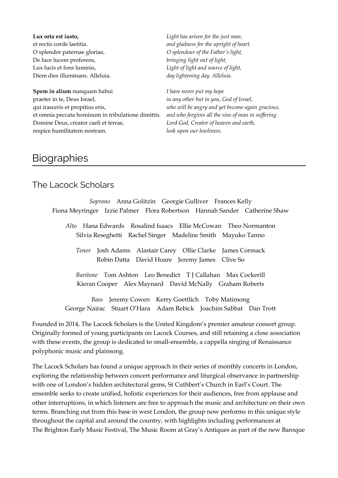**Lux orta est iusto,** et rectis corde laetitia. O splendor paternae gloriae, De luce lucem proferens, Lux lucis et fons luminis, Diem dies illuminans. Alleluia.

**Spem in alium** nunquam habui praeter in te, Deus Israel, qui irasceris et propitius eris, et omnia peccata hominum in tribulatione dimittis. Domine Deus, creator caeli et terrae, respice humilitatem nostram.

*Light has arisen for the just man, and gladness for the upright of heart. O splendour of the Father's light, bringing light out of light, Light of light and source of light, day lightening day. Alleluia.*

*I have never put my hope in any other but in you, God of Israel, who will be angry and yet become again gracious, and who forgives all the sins of man in suffering. Lord God, Creator of heaven and earth, look upon our lowliness.*

# **Biographies**

### The Lacock Scholars

*Soprano* Anna Golitzin Georgie Gulliver Frances Kelly Fiona Meyringer Izzie Palmer Flora Robertson Hannah Sander Catherine Shaw

*Alto* Hana Edwards Rosalind Isaacs Ellie McCowan Theo Normanton Silvia Reseghetti Rachel Singer Madeline Smith Mayuko Tanno

*Tenor* Josh Adams Alastair Carey Ollie Clarke James Cormack Robin Datta David Hoare Jeremy James Clive So

*Baritone* Tom Ashton Leo Benedict T J Callahan Max Cockerill Kieran Cooper Alex Maynard David McNally Graham Roberts

*Bass* Jeremy Cowen Kerry Goettlich Toby Matimong George Nairac Stuart O'Hara Adam Rebick Joachim Sabbat Dan Trott

Founded in 2014, The Lacock Scholars is the United Kingdom's premier amateur consort group. Originally formed of young participants on Lacock Courses, and still retaining a close association with these events, the group is dedicated to small-ensemble, a cappella singing of Renaissance polyphonic music and plainsong.

The Lacock Scholars has found a unique approach in their series of monthly concerts in London, exploring the relationship between concert performance and liturgical observance in partnership with one of London's hidden architectural gems, St Cuthbert's Church in Earl's Court. The ensemble seeks to create unified, holistic experiences for their audiences, free from applause and other interruptions, in which listeners are free to approach the music and architecture on their own terms. Branching out from this base in west London, the group now performs in this unique style throughout the capital and around the country, with highlights including performances at The Brighton Early Music Festival, The Music Room at Gray's Antiques as part of the new Baroque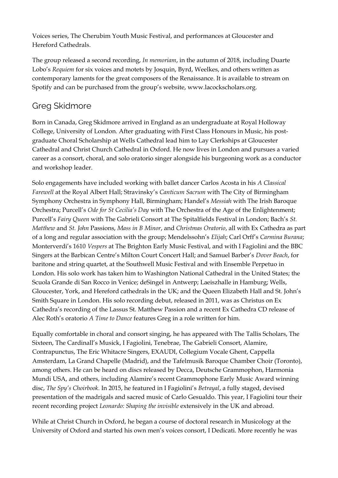Voices series, The Cherubim Youth Music Festival, and performances at Gloucester and Hereford Cathedrals.

The group released a second recording, *In memoriam*, in the autumn of 2018, including Duarte Lobo's *Requiem* for six voices and motets by Josquin, Byrd, Weelkes, and others written as contemporary laments for the great composers of the Renaissance. It is available to stream on Spotify and can be purchased from the group's website, www.lacockscholars.org.

## Greg Skidmore

Born in Canada, Greg Skidmore arrived in England as an undergraduate at Royal Holloway College, University of London. After graduating with First Class Honours in Music, his postgraduate Choral Scholarship at Wells Cathedral lead him to Lay Clerkships at Gloucester Cathedral and Christ Church Cathedral in Oxford. He now lives in London and pursues a varied career as a consort, choral, and solo oratorio singer alongside his burgeoning work as a conductor and workshop leader.

Solo engagements have included working with ballet dancer Carlos Acosta in his *A Classical Farewell* at the Royal Albert Hall; Stravinsky's *Canticum Sacrum* with The City of Birmingham Symphony Orchestra in Symphony Hall, Birmingham; Handel's *Messiah* with The Irish Baroque Orchestra; Purcell's *Ode for St Cecilia's Day* with The Orchestra of the Age of the Enlightenment; Purcell's *Fairy Queen* with The Gabrieli Consort at The Spitalfields Festival in London; Bach's *St. Matthew* and *St. John* Passions, *Mass in B Minor*, and *Christmas Oratorio*, all with Ex Cathedra as part of a long and regular association with the group; Mendelssohn's *Elijah*; Carl Orff's *Carmina Burana*; Monterverdi's 1610 *Vespers* at The Brighton Early Music Festival, and with I Fagiolini and the BBC Singers at the Barbican Centre's Milton Court Concert Hall; and Samuel Barber's *Dover Beach*, for baritone and string quartet, at the Southwell Music Festival and with Ensemble Perpetuo in London. His solo work has taken him to Washington National Cathedral in the United States; the Scuola Grande di San Rocco in Venice; deSingel in Antwerp; Laeiszhalle in Hamburg; Wells, Gloucester, York, and Hereford cathedrals in the UK; and the Queen Elizabeth Hall and St. John's Smith Square in London. His solo recording debut, released in 2011, was as Christus on Ex Cathedra's recording of the Lassus St. Matthew Passion and a recent Ex Cathedra CD release of Alec Roth's oratorio *A Time to Dance* features Greg in a role written for him.

Equally comfortable in choral and consort singing, he has appeared with The Tallis Scholars, The Sixteen, The Cardinall's Musick, I Fagiolini, Tenebrae, The Gabrieli Consort, Alamire, Contrapunctus, The Eric Whitacre Singers, EXAUDI, Collegium Vocale Ghent, Cappella Amsterdam, La Grand Chapelle (Madrid), and the Tafelmusik Baroque Chamber Choir (Toronto), among others. He can be heard on discs released by Decca, Deutsche Grammophon, Harmonia Mundi USA, and others, including Alamire's recent Grammophone Early Music Award winning disc, *The Spy's Choirbook*. In 2015, he featured in I Fagiolini's *Betrayal*, a fully staged, devised presentation of the madrigals and sacred music of Carlo Gesualdo. This year, I Fagiolini tour their recent recording project *Leonardo: Shaping the invisible* extensively in the UK and abroad.

While at Christ Church in Oxford, he began a course of doctoral research in Musicology at the University of Oxford and started his own men's voices consort, I Dedicati. More recently he was